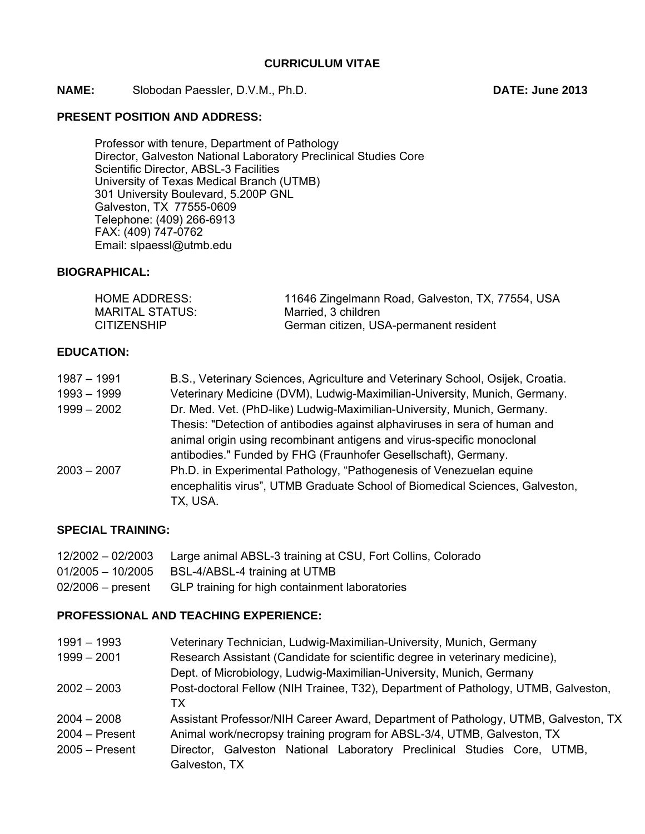**NAME:** Slobodan Paessler, D.V.M., Ph.D. **DATE: June 2013** 

## **PRESENT POSITION AND ADDRESS:**

Professor with tenure, Department of Pathology Director, Galveston National Laboratory Preclinical Studies Core Scientific Director, ABSL-3 Facilities University of Texas Medical Branch (UTMB) 301 University Boulevard, 5.200P GNL Galveston, TX 77555-0609 Telephone: (409) 266-6913 FAX: (409) 747-0762 Email: slpaessl@utmb.edu

## **BIOGRAPHICAL:**

| HOME ADDRESS:      | 11646 Zingelmann Road, Galveston, TX, 77554, USA |
|--------------------|--------------------------------------------------|
| MARITAL STATUS:    | Married, 3 children                              |
| <b>CITIZENSHIP</b> | German citizen, USA-permanent resident           |

# **EDUCATION:**

| 1987 – 1991   | B.S., Veterinary Sciences, Agriculture and Veterinary School, Osijek, Croatia. |
|---------------|--------------------------------------------------------------------------------|
| $1993 - 1999$ | Veterinary Medicine (DVM), Ludwig-Maximilian-University, Munich, Germany.      |
| $1999 - 2002$ | Dr. Med. Vet. (PhD-like) Ludwig-Maximilian-University, Munich, Germany.        |
|               | Thesis: "Detection of antibodies against alphaviruses in sera of human and     |
|               | animal origin using recombinant antigens and virus-specific monoclonal         |
|               | antibodies." Funded by FHG (Fraunhofer Gesellschaft), Germany.                 |
| $2003 - 2007$ | Ph.D. in Experimental Pathology, "Pathogenesis of Venezuelan equine            |
|               | encephalitis virus", UTMB Graduate School of Biomedical Sciences, Galveston,   |
|               | TX, USA.                                                                       |

## **SPECIAL TRAINING:**

| 12/2002 - 02/2003 | Large animal ABSL-3 training at CSU, Fort Collins, Colorado |
|-------------------|-------------------------------------------------------------|
|                   | 01/2005 - 10/2005 BSL-4/ABSL-4 training at UTMB             |
| 02/2006 – present | GLP training for high containment laboratories              |

# **PROFESSIONAL AND TEACHING EXPERIENCE:**

| $1991 - 1993$    | Veterinary Technician, Ludwig-Maximilian-University, Munich, Germany               |
|------------------|------------------------------------------------------------------------------------|
| $1999 - 2001$    | Research Assistant (Candidate for scientific degree in veterinary medicine),       |
|                  | Dept. of Microbiology, Ludwig-Maximilian-University, Munich, Germany               |
| $2002 - 2003$    | Post-doctoral Fellow (NIH Trainee, T32), Department of Pathology, UTMB, Galveston, |
|                  | TX I                                                                               |
| $2004 - 2008$    | Assistant Professor/NIH Career Award, Department of Pathology, UTMB, Galveston, TX |
| $2004 - Present$ | Animal work/necropsy training program for ABSL-3/4, UTMB, Galveston, TX            |
| $2005 -$ Present | Director, Galveston National Laboratory Preclinical Studies Core, UTMB,            |
|                  | Galveston, TX                                                                      |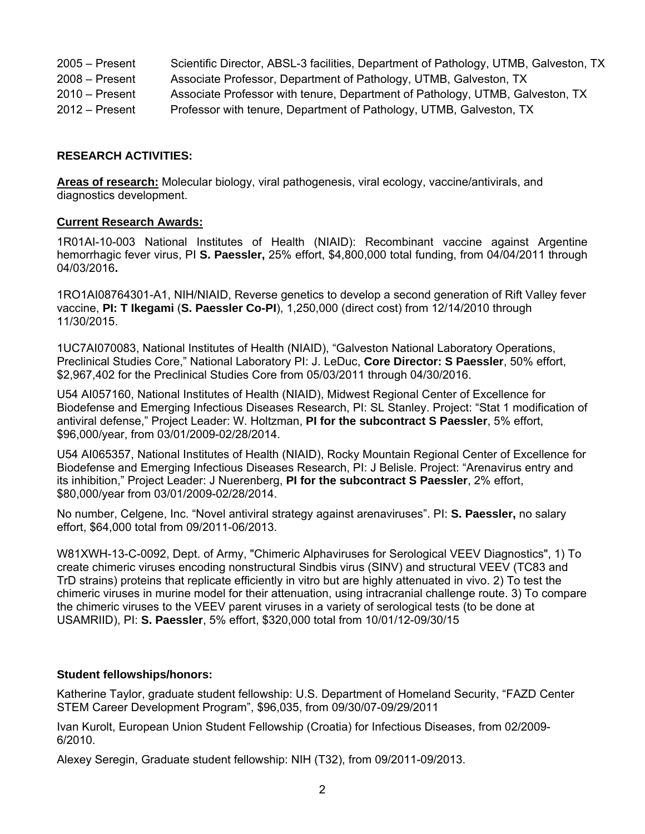| $2005 -$ Present | Scientific Director, ABSL-3 facilities, Department of Pathology, UTMB, Galveston, TX |
|------------------|--------------------------------------------------------------------------------------|
| $2008 -$ Present | Associate Professor, Department of Pathology, UTMB, Galveston, TX                    |
| $2010 -$ Present | Associate Professor with tenure, Department of Pathology, UTMB, Galveston, TX        |
| $2012 -$ Present | Professor with tenure, Department of Pathology, UTMB, Galveston, TX                  |

## **RESEARCH ACTIVITIES:**

**Areas of research:** Molecular biology, viral pathogenesis, viral ecology, vaccine/antivirals, and diagnostics development.

## **Current Research Awards:**

1R01AI-10-003 National Institutes of Health (NIAID): Recombinant vaccine against Argentine hemorrhagic fever virus, PI **S. Paessler,** 25% effort, \$4,800,000 total funding, from 04/04/2011 through 04/03/2016**.** 

1RO1AI08764301-A1, NIH/NIAID, Reverse genetics to develop a second generation of Rift Valley fever vaccine, **PI: T Ikegami** (**S. Paessler Co-PI**), 1,250,000 (direct cost) from 12/14/2010 through 11/30/2015.

1UC7AI070083, National Institutes of Health (NIAID), "Galveston National Laboratory Operations, Preclinical Studies Core," National Laboratory PI: J. LeDuc, **Core Director: S Paessler**, 50% effort, \$2,967,402 for the Preclinical Studies Core from 05/03/2011 through 04/30/2016.

U54 AI057160, National Institutes of Health (NIAID), Midwest Regional Center of Excellence for Biodefense and Emerging Infectious Diseases Research, PI: SL Stanley. Project: "Stat 1 modification of antiviral defense," Project Leader: W. Holtzman, **PI for the subcontract S Paessler**, 5% effort, \$96,000/year, from 03/01/2009-02/28/2014.

U54 AI065357, National Institutes of Health (NIAID), Rocky Mountain Regional Center of Excellence for Biodefense and Emerging Infectious Diseases Research, PI: J Belisle. Project: "Arenavirus entry and its inhibition," Project Leader: J Nuerenberg, **PI for the subcontract S Paessler**, 2% effort, \$80,000/year from 03/01/2009-02/28/2014.

No number, Celgene, Inc. "Novel antiviral strategy against arenaviruses". PI: **S. Paessler,** no salary effort, \$64,000 total from 09/2011-06/2013.

W81XWH-13-C-0092, Dept. of Army, "Chimeric Alphaviruses for Serological VEEV Diagnostics", 1) To create chimeric viruses encoding nonstructural Sindbis virus (SINV) and structural VEEV (TC83 and TrD strains) proteins that replicate efficiently in vitro but are highly attenuated in vivo. 2) To test the chimeric viruses in murine model for their attenuation, using intracranial challenge route. 3) To compare the chimeric viruses to the VEEV parent viruses in a variety of serological tests (to be done at USAMRIID), PI: **S. Paessler**, 5% effort, \$320,000 total from 10/01/12-09/30/15

## **Student fellowships/honors:**

Katherine Taylor, graduate student fellowship: U.S. Department of Homeland Security, "FAZD Center STEM Career Development Program", \$96,035, from 09/30/07-09/29/2011

Ivan Kurolt, European Union Student Fellowship (Croatia) for Infectious Diseases, from 02/2009- 6/2010.

Alexey Seregin, Graduate student fellowship: NIH (T32), from 09/2011-09/2013.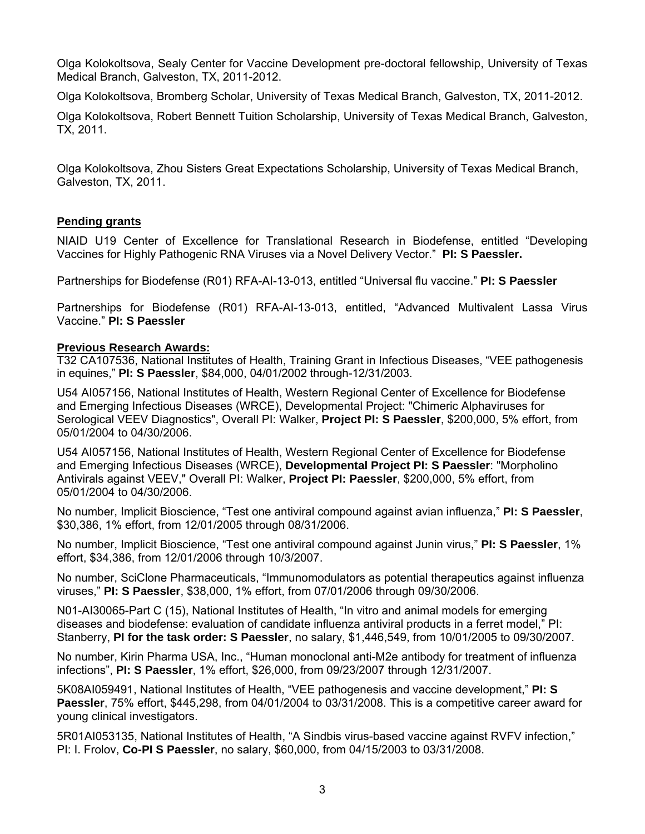Olga Kolokoltsova, Sealy Center for Vaccine Development pre-doctoral fellowship, University of Texas Medical Branch, Galveston, TX, 2011-2012.

Olga Kolokoltsova, Bromberg Scholar, University of Texas Medical Branch, Galveston, TX, 2011-2012.

Olga Kolokoltsova, Robert Bennett Tuition Scholarship, University of Texas Medical Branch, Galveston, TX, 2011.

Olga Kolokoltsova, Zhou Sisters Great Expectations Scholarship, University of Texas Medical Branch, Galveston, TX, 2011.

## **Pending grants**

NIAID U19 Center of Excellence for Translational Research in Biodefense, entitled "Developing Vaccines for Highly Pathogenic RNA Viruses via a Novel Delivery Vector." **PI: S Paessler.**

Partnerships for Biodefense (R01) RFA-AI-13-013, entitled "Universal flu vaccine." **PI: S Paessler** 

Partnerships for Biodefense (R01) RFA-AI-13-013, entitled, "Advanced Multivalent Lassa Virus Vaccine." **PI: S Paessler**

## **Previous Research Awards:**

T32 CA107536, National Institutes of Health, Training Grant in Infectious Diseases, "VEE pathogenesis in equines," **PI: S Paessler**, \$84,000, 04/01/2002 through-12/31/2003.

U54 AI057156, National Institutes of Health, Western Regional Center of Excellence for Biodefense and Emerging Infectious Diseases (WRCE), Developmental Project: "Chimeric Alphaviruses for Serological VEEV Diagnostics", Overall PI: Walker, **Project PI: S Paessler**, \$200,000, 5% effort, from 05/01/2004 to 04/30/2006.

U54 AI057156, National Institutes of Health, Western Regional Center of Excellence for Biodefense and Emerging Infectious Diseases (WRCE), **Developmental Project PI: S Paessler**: "Morpholino Antivirals against VEEV," Overall PI: Walker, **Project PI: Paessler**, \$200,000, 5% effort, from 05/01/2004 to 04/30/2006.

No number, Implicit Bioscience, "Test one antiviral compound against avian influenza," **PI: S Paessler**, \$30,386, 1% effort, from 12/01/2005 through 08/31/2006.

No number, Implicit Bioscience, "Test one antiviral compound against Junin virus," **PI: S Paessler**, 1% effort, \$34,386, from 12/01/2006 through 10/3/2007.

No number, SciClone Pharmaceuticals, "Immunomodulators as potential therapeutics against influenza viruses," **PI: S Paessler**, \$38,000, 1% effort, from 07/01/2006 through 09/30/2006.

N01-AI30065-Part C (15), National Institutes of Health, "In vitro and animal models for emerging diseases and biodefense: evaluation of candidate influenza antiviral products in a ferret model," PI: Stanberry, **PI for the task order: S Paessler**, no salary, \$1,446,549, from 10/01/2005 to 09/30/2007.

No number, Kirin Pharma USA, Inc., "Human monoclonal anti-M2e antibody for treatment of influenza infections", **PI: S Paessler**, 1% effort, \$26,000, from 09/23/2007 through 12/31/2007.

5K08AI059491, National Institutes of Health, "VEE pathogenesis and vaccine development," **PI: S Paessler**, 75% effort, \$445,298, from 04/01/2004 to 03/31/2008. This is a competitive career award for young clinical investigators.

5R01AI053135, National Institutes of Health, "A Sindbis virus-based vaccine against RVFV infection," PI: I. Frolov, **Co-PI S Paessler**, no salary, \$60,000, from 04/15/2003 to 03/31/2008.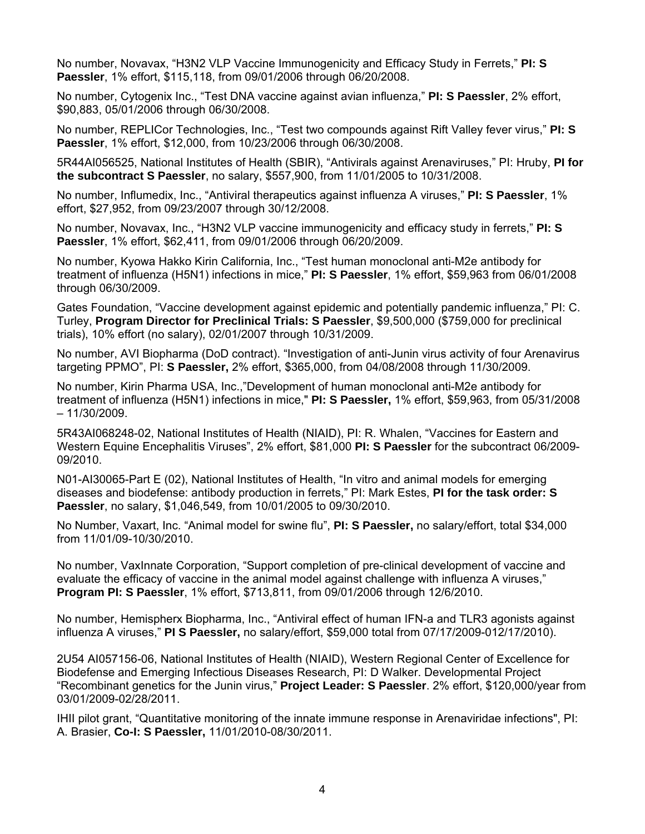No number, Novavax, "H3N2 VLP Vaccine Immunogenicity and Efficacy Study in Ferrets," **PI: S Paessler**, 1% effort, \$115,118, from 09/01/2006 through 06/20/2008.

No number, Cytogenix Inc., "Test DNA vaccine against avian influenza," **PI: S Paessler**, 2% effort, \$90,883, 05/01/2006 through 06/30/2008.

No number, REPLICor Technologies, Inc., "Test two compounds against Rift Valley fever virus," **PI: S Paessler**, 1% effort, \$12,000, from 10/23/2006 through 06/30/2008.

5R44AI056525, National Institutes of Health (SBIR), "Antivirals against Arenaviruses," PI: Hruby, **PI for the subcontract S Paessler**, no salary, \$557,900, from 11/01/2005 to 10/31/2008.

No number, Influmedix, Inc., "Antiviral therapeutics against influenza A viruses," **PI: S Paessler**, 1% effort, \$27,952, from 09/23/2007 through 30/12/2008.

No number, Novavax, Inc., "H3N2 VLP vaccine immunogenicity and efficacy study in ferrets," **PI: S Paessler**, 1% effort, \$62,411, from 09/01/2006 through 06/20/2009.

No number, Kyowa Hakko Kirin California, Inc., "Test human monoclonal anti-M2e antibody for treatment of influenza (H5N1) infections in mice," **PI: S Paessler**, 1% effort, \$59,963 from 06/01/2008 through 06/30/2009.

Gates Foundation, "Vaccine development against epidemic and potentially pandemic influenza," PI: C. Turley, **Program Director for Preclinical Trials: S Paessler**, \$9,500,000 (\$759,000 for preclinical trials), 10% effort (no salary), 02/01/2007 through 10/31/2009.

No number, AVI Biopharma (DoD contract). "Investigation of anti-Junin virus activity of four Arenavirus targeting PPMO", PI: **S Paessler,** 2% effort, \$365,000, from 04/08/2008 through 11/30/2009.

No number, Kirin Pharma USA, Inc.,"Development of human monoclonal anti-M2e antibody for treatment of influenza (H5N1) infections in mice," **PI: S Paessler,** 1% effort, \$59,963, from 05/31/2008 – 11/30/2009.

5R43AI068248-02, National Institutes of Health (NIAID), PI: R. Whalen, "Vaccines for Eastern and Western Equine Encephalitis Viruses", 2% effort, \$81,000 **PI: S Paessler** for the subcontract 06/2009- 09/2010.

N01-AI30065-Part E (02), National Institutes of Health, "In vitro and animal models for emerging diseases and biodefense: antibody production in ferrets," PI: Mark Estes, **PI for the task order: S Paessler**, no salary, \$1,046,549, from 10/01/2005 to 09/30/2010.

No Number, Vaxart, Inc. "Animal model for swine flu", **PI: S Paessler,** no salary/effort, total \$34,000 from 11/01/09-10/30/2010.

No number, VaxInnate Corporation, "Support completion of pre-clinical development of vaccine and evaluate the efficacy of vaccine in the animal model against challenge with influenza A viruses," **Program PI: S Paessler**, 1% effort, \$713,811, from 09/01/2006 through 12/6/2010.

No number, Hemispherx Biopharma, Inc., "Antiviral effect of human IFN-a and TLR3 agonists against influenza A viruses," **PI S Paessler,** no salary/effort, \$59,000 total from 07/17/2009-012/17/2010).

2U54 AI057156-06, National Institutes of Health (NIAID), Western Regional Center of Excellence for Biodefense and Emerging Infectious Diseases Research, PI: D Walker. Developmental Project "Recombinant genetics for the Junin virus," **Project Leader: S Paessler**. 2% effort, \$120,000/year from 03/01/2009-02/28/2011.

IHII pilot grant, "Quantitative monitoring of the innate immune response in Arenaviridae infections", PI: A. Brasier, **Co-I: S Paessler,** 11/01/2010-08/30/2011.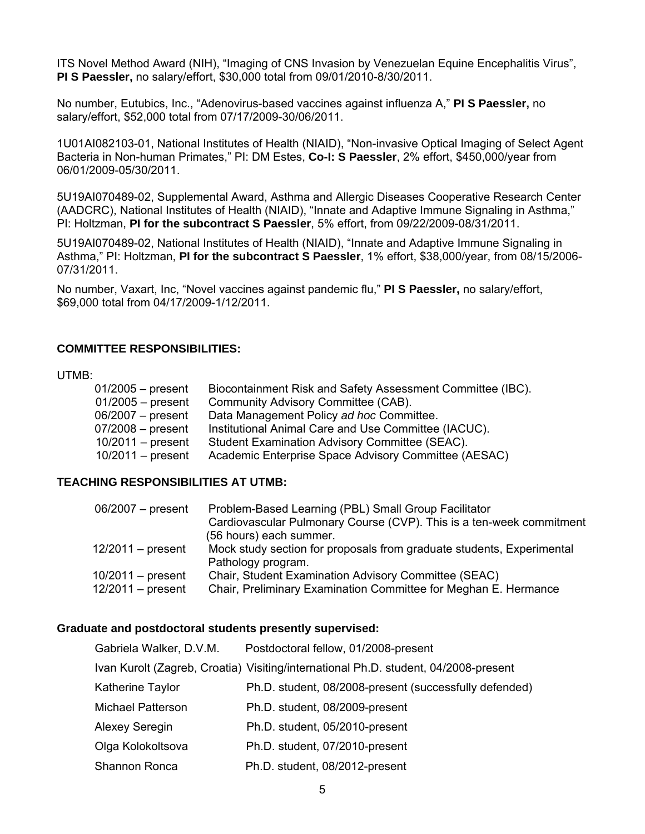ITS Novel Method Award (NIH), "Imaging of CNS Invasion by Venezuelan Equine Encephalitis Virus", **PI S Paessler,** no salary/effort, \$30,000 total from 09/01/2010-8/30/2011.

No number, Eutubics, Inc., "Adenovirus-based vaccines against influenza A," **PI S Paessler,** no salary/effort, \$52,000 total from 07/17/2009-30/06/2011.

1U01AI082103-01, National Institutes of Health (NIAID), "Non-invasive Optical Imaging of Select Agent Bacteria in Non-human Primates," PI: DM Estes, **Co-I: S Paessler**, 2% effort, \$450,000/year from 06/01/2009-05/30/2011.

5U19AI070489-02, Supplemental Award, Asthma and Allergic Diseases Cooperative Research Center (AADCRC), National Institutes of Health (NIAID), "Innate and Adaptive Immune Signaling in Asthma," PI: Holtzman, **PI for the subcontract S Paessler**, 5% effort, from 09/22/2009-08/31/2011.

5U19AI070489-02, National Institutes of Health (NIAID), "Innate and Adaptive Immune Signaling in Asthma," PI: Holtzman, **PI for the subcontract S Paessler**, 1% effort, \$38,000/year, from 08/15/2006- 07/31/2011.

No number, Vaxart, Inc, "Novel vaccines against pandemic flu," **PI S Paessler,** no salary/effort, \$69,000 total from 04/17/2009-1/12/2011.

## **COMMITTEE RESPONSIBILITIES:**

#### UTMB:

| $01/2005 - present$ | Biocontainment Risk and Safety Assessment Committee (IBC). |
|---------------------|------------------------------------------------------------|
| $01/2005$ – present | Community Advisory Committee (CAB).                        |
| $06/2007 - present$ | Data Management Policy ad hoc Committee.                   |
| $07/2008$ – present | Institutional Animal Care and Use Committee (IACUC).       |
| $10/2011$ – present | Student Examination Advisory Committee (SEAC).             |
| $10/2011$ – present | Academic Enterprise Space Advisory Committee (AESAC)       |

## **TEACHING RESPONSIBILITIES AT UTMB:**

| $06/2007 - present$ | Problem-Based Learning (PBL) Small Group Facilitator                  |
|---------------------|-----------------------------------------------------------------------|
|                     | Cardiovascular Pulmonary Course (CVP). This is a ten-week commitment  |
|                     | (56 hours) each summer.                                               |
| $12/2011$ – present | Mock study section for proposals from graduate students, Experimental |
|                     | Pathology program.                                                    |
| $10/2011$ – present | Chair, Student Examination Advisory Committee (SEAC)                  |
| $12/2011$ – present | Chair, Preliminary Examination Committee for Meghan E. Hermance       |

#### **Graduate and postdoctoral students presently supervised:**

| Gabriela Walker, D.V.M.  | Postdoctoral fellow, 01/2008-present                                                |
|--------------------------|-------------------------------------------------------------------------------------|
|                          | Ivan Kurolt (Zagreb, Croatia) Visiting/international Ph.D. student, 04/2008-present |
| Katherine Taylor         | Ph.D. student, 08/2008-present (successfully defended)                              |
| <b>Michael Patterson</b> | Ph.D. student, 08/2009-present                                                      |
| <b>Alexey Seregin</b>    | Ph.D. student, 05/2010-present                                                      |
| Olga Kolokoltsova        | Ph.D. student, 07/2010-present                                                      |
| Shannon Ronca            | Ph.D. student, 08/2012-present                                                      |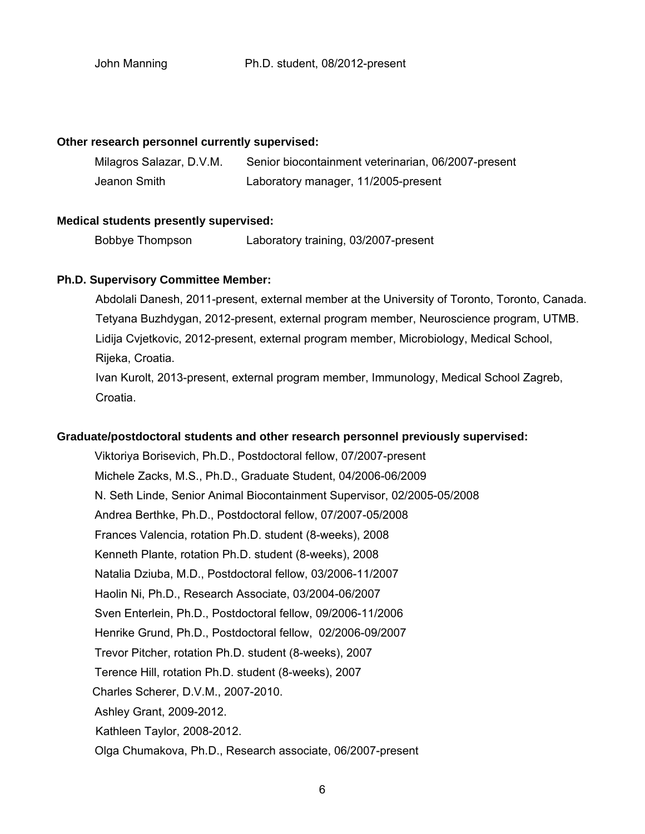#### **Other research personnel currently supervised:**

| Milagros Salazar, D.V.M. | Senior biocontainment veterinarian, 06/2007-present |
|--------------------------|-----------------------------------------------------|
| Jeanon Smith             | Laboratory manager, 11/2005-present                 |

#### **Medical students presently supervised:**

Bobbye Thompson Laboratory training, 03/2007-present

#### **Ph.D. Supervisory Committee Member:**

 Abdolali Danesh, 2011-present, external member at the University of Toronto, Toronto, Canada. Tetyana Buzhdygan, 2012-present, external program member, Neuroscience program, UTMB. Lidija Cvjetkovic, 2012-present, external program member, Microbiology, Medical School, Rijeka, Croatia. Ivan Kurolt, 2013-present, external program member, Immunology, Medical School Zagreb, Croatia.

#### **Graduate/postdoctoral students and other research personnel previously supervised:**

Viktoriya Borisevich, Ph.D., Postdoctoral fellow, 07/2007-present Michele Zacks, M.S., Ph.D., Graduate Student, 04/2006-06/2009 N. Seth Linde, Senior Animal Biocontainment Supervisor, 02/2005-05/2008 Andrea Berthke, Ph.D., Postdoctoral fellow, 07/2007-05/2008 Frances Valencia, rotation Ph.D. student (8-weeks), 2008 Kenneth Plante, rotation Ph.D. student (8-weeks), 2008 Natalia Dziuba, M.D., Postdoctoral fellow, 03/2006-11/2007 Haolin Ni, Ph.D., Research Associate, 03/2004-06/2007 Sven Enterlein, Ph.D., Postdoctoral fellow, 09/2006-11/2006 Henrike Grund, Ph.D., Postdoctoral fellow, 02/2006-09/2007 Trevor Pitcher, rotation Ph.D. student (8-weeks), 2007 Terence Hill, rotation Ph.D. student (8-weeks), 2007 Charles Scherer, D.V.M., 2007-2010. Ashley Grant, 2009-2012. Kathleen Taylor, 2008-2012. Olga Chumakova, Ph.D., Research associate, 06/2007-present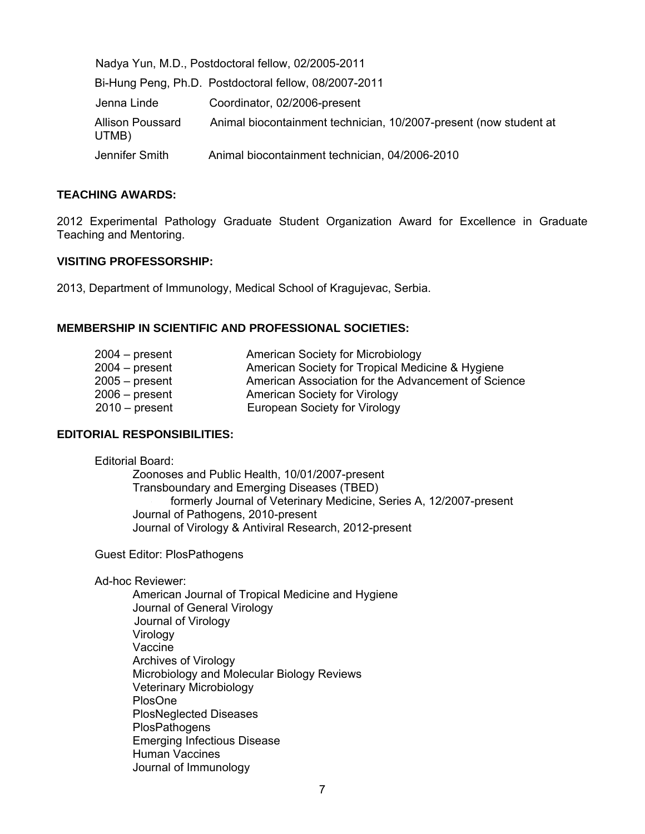| Nadya Yun, M.D., Postdoctoral fellow, 02/2005-2011 |                                                                   |
|----------------------------------------------------|-------------------------------------------------------------------|
|                                                    | Bi-Hung Peng, Ph.D. Postdoctoral fellow, 08/2007-2011             |
| Jenna Linde                                        | Coordinator, 02/2006-present                                      |
| <b>Allison Poussard</b><br>UTMB)                   | Animal biocontainment technician, 10/2007-present (now student at |
| Jennifer Smith                                     | Animal biocontainment technician, 04/2006-2010                    |

#### **TEACHING AWARDS:**

2012 Experimental Pathology Graduate Student Organization Award for Excellence in Graduate Teaching and Mentoring.

#### **VISITING PROFESSORSHIP:**

2013, Department of Immunology, Medical School of Kragujevac, Serbia.

## **MEMBERSHIP IN SCIENTIFIC AND PROFESSIONAL SOCIETIES:**

| $2004 - present$ | American Society for Microbiology                   |
|------------------|-----------------------------------------------------|
| $2004 - present$ | American Society for Tropical Medicine & Hygiene    |
| $2005 - present$ | American Association for the Advancement of Science |
| $2006 - present$ | <b>American Society for Virology</b>                |
| $2010 - present$ | European Society for Virology                       |

#### **EDITORIAL RESPONSIBILITIES:**

Editorial Board:

Zoonoses and Public Health, 10/01/2007-present Transboundary and Emerging Diseases (TBED) formerly Journal of Veterinary Medicine, Series A, 12/2007-present Journal of Pathogens, 2010-present Journal of Virology & Antiviral Research, 2012-present

Guest Editor: PlosPathogens

#### Ad-hoc Reviewer:

 American Journal of Tropical Medicine and Hygiene Journal of General Virology Journal of Virology Virology Vaccine Archives of Virology Microbiology and Molecular Biology Reviews Veterinary Microbiology PlosOne PlosNeglected Diseases **PlosPathogens** Emerging Infectious Disease Human Vaccines Journal of Immunology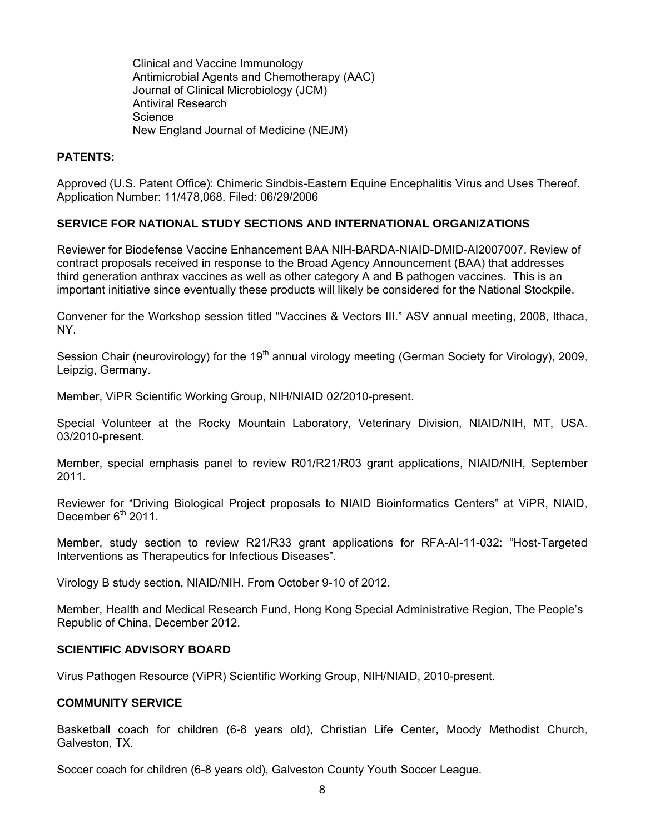Clinical and Vaccine Immunology Antimicrobial Agents and Chemotherapy (AAC) Journal of Clinical Microbiology (JCM) Antiviral Research Science New England Journal of Medicine (NEJM)

## **PATENTS:**

Approved (U.S. Patent Office): Chimeric Sindbis-Eastern Equine Encephalitis Virus and Uses Thereof. Application Number: 11/478,068. Filed: 06/29/2006

## **SERVICE FOR NATIONAL STUDY SECTIONS AND INTERNATIONAL ORGANIZATIONS**

Reviewer for Biodefense Vaccine Enhancement BAA NIH-BARDA-NIAID-DMID-AI2007007. Review of contract proposals received in response to the Broad Agency Announcement (BAA) that addresses third generation anthrax vaccines as well as other category A and B pathogen vaccines. This is an important initiative since eventually these products will likely be considered for the National Stockpile.

Convener for the Workshop session titled "Vaccines & Vectors III." ASV annual meeting, 2008, Ithaca, NY.

Session Chair (neurovirology) for the 19<sup>th</sup> annual virology meeting (German Society for Virology), 2009, Leipzig, Germany.

Member, ViPR Scientific Working Group, NIH/NIAID 02/2010-present.

Special Volunteer at the Rocky Mountain Laboratory, Veterinary Division, NIAID/NIH, MT, USA. 03/2010-present.

Member, special emphasis panel to review R01/R21/R03 grant applications, NIAID/NIH, September 2011.

Reviewer for "Driving Biological Project proposals to NIAID Bioinformatics Centers" at ViPR, NIAID, December  $6<sup>th</sup>$  2011.

Member, study section to review R21/R33 grant applications for RFA-AI-11-032: "Host-Targeted Interventions as Therapeutics for Infectious Diseases".

Virology B study section, NIAID/NIH. From October 9-10 of 2012.

Member, Health and Medical Research Fund, Hong Kong Special Administrative Region, The People's Republic of China, December 2012.

## **SCIENTIFIC ADVISORY BOARD**

Virus Pathogen Resource (ViPR) Scientific Working Group, NIH/NIAID, 2010-present.

#### **COMMUNITY SERVICE**

Basketball coach for children (6-8 years old), Christian Life Center, Moody Methodist Church, Galveston, TX.

Soccer coach for children (6-8 years old), Galveston County Youth Soccer League.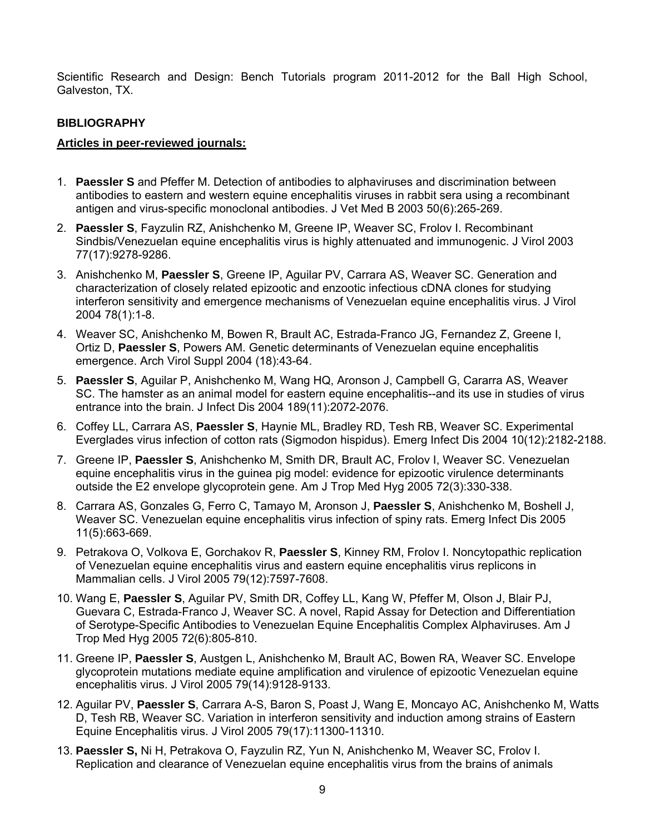Scientific Research and Design: Bench Tutorials program 2011-2012 for the Ball High School, Galveston, TX.

## **BIBLIOGRAPHY**

#### **Articles in peer-reviewed journals:**

- 1. **Paessler S** and Pfeffer M. Detection of antibodies to alphaviruses and discrimination between antibodies to eastern and western equine encephalitis viruses in rabbit sera using a recombinant antigen and virus-specific monoclonal antibodies. J Vet Med B 2003 50(6):265-269.
- 2. **Paessler S**, Fayzulin RZ, Anishchenko M, Greene IP, Weaver SC, Frolov I. Recombinant Sindbis/Venezuelan equine encephalitis virus is highly attenuated and immunogenic. J Virol 2003 77(17):9278-9286.
- 3. Anishchenko M, **Paessler S**, Greene IP, Aguilar PV, Carrara AS, Weaver SC. Generation and characterization of closely related epizootic and enzootic infectious cDNA clones for studying interferon sensitivity and emergence mechanisms of Venezuelan equine encephalitis virus. J Virol 2004 78(1):1-8.
- 4. Weaver SC, Anishchenko M, Bowen R, Brault AC, Estrada-Franco JG, Fernandez Z, Greene I, Ortiz D, **Paessler S**, Powers AM. Genetic determinants of Venezuelan equine encephalitis emergence. Arch Virol Suppl 2004 (18):43-64.
- 5. **Paessler S**, Aguilar P, Anishchenko M, Wang HQ, Aronson J, Campbell G, Cararra AS, Weaver SC. The hamster as an animal model for eastern equine encephalitis--and its use in studies of virus entrance into the brain. J Infect Dis 2004 189(11):2072-2076.
- 6. Coffey LL, Carrara AS, **Paessler S**, Haynie ML, Bradley RD, Tesh RB, Weaver SC. Experimental Everglades virus infection of cotton rats (Sigmodon hispidus). Emerg Infect Dis 2004 10(12):2182-2188.
- 7. Greene IP, **Paessler S**, Anishchenko M, Smith DR, Brault AC, Frolov I, Weaver SC. Venezuelan equine encephalitis virus in the guinea pig model: evidence for epizootic virulence determinants outside the E2 envelope glycoprotein gene. Am J Trop Med Hyg 2005 72(3):330-338.
- 8. Carrara AS, Gonzales G, Ferro C, Tamayo M, Aronson J, **Paessler S**, Anishchenko M, Boshell J, Weaver SC. Venezuelan equine encephalitis virus infection of spiny rats. Emerg Infect Dis 2005 11(5):663-669.
- 9. Petrakova O, Volkova E, Gorchakov R, **Paessler S**, Kinney RM, Frolov I. Noncytopathic replication of Venezuelan equine encephalitis virus and eastern equine encephalitis virus replicons in Mammalian cells. J Virol 2005 79(12):7597-7608.
- 10. Wang E, **Paessler S**, Aguilar PV, Smith DR, Coffey LL, Kang W, Pfeffer M, Olson J, Blair PJ, Guevara C, Estrada-Franco J, Weaver SC. A novel, Rapid Assay for Detection and Differentiation of Serotype-Specific Antibodies to Venezuelan Equine Encephalitis Complex Alphaviruses. Am J Trop Med Hyg 2005 72(6):805-810.
- 11. Greene IP, **Paessler S**, Austgen L, Anishchenko M, Brault AC, Bowen RA, Weaver SC. Envelope glycoprotein mutations mediate equine amplification and virulence of epizootic Venezuelan equine encephalitis virus. J Virol 2005 79(14):9128-9133.
- 12. Aguilar PV, **Paessler S**, Carrara A-S, Baron S, Poast J, Wang E, Moncayo AC, Anishchenko M, Watts D, Tesh RB, Weaver SC. Variation in interferon sensitivity and induction among strains of Eastern Equine Encephalitis virus. J Virol 2005 79(17):11300-11310.
- 13. **Paessler S,** Ni H, Petrakova O, Fayzulin RZ, Yun N, Anishchenko M, Weaver SC, Frolov I. Replication and clearance of Venezuelan equine encephalitis virus from the brains of animals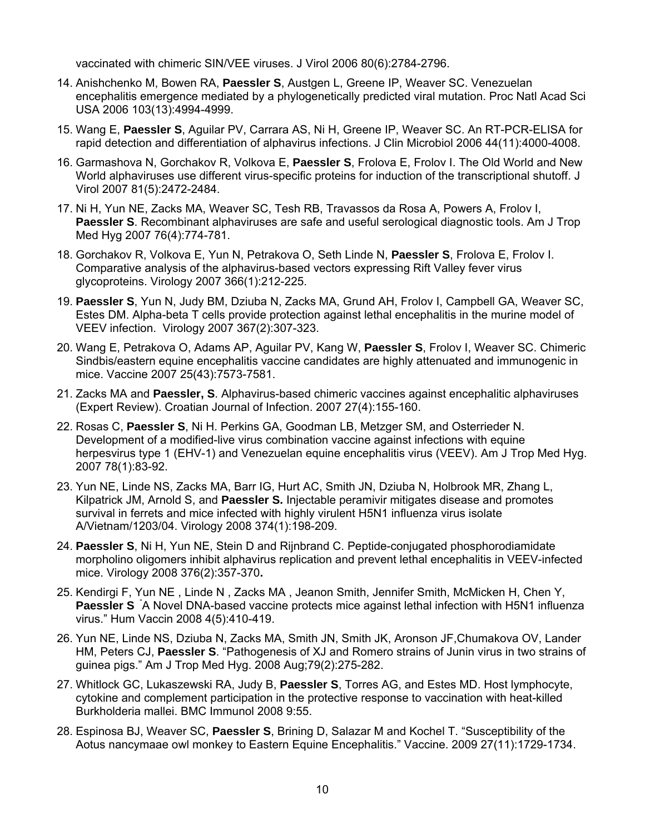vaccinated with chimeric SIN/VEE viruses. J Virol 2006 80(6):2784-2796.

- 14. Anishchenko M, Bowen RA, **Paessler S**, Austgen L, Greene IP, Weaver SC. Venezuelan encephalitis emergence mediated by a phylogenetically predicted viral mutation. Proc Natl Acad Sci USA 2006 103(13):4994-4999.
- 15. Wang E, **Paessler S**, Aguilar PV, Carrara AS, Ni H, Greene IP, Weaver SC. An RT-PCR-ELISA for rapid detection and differentiation of alphavirus infections. J Clin Microbiol 2006 44(11):4000-4008.
- 16. Garmashova N, Gorchakov R, Volkova E, **Paessler S**, Frolova E, Frolov I. The Old World and New World alphaviruses use different virus-specific proteins for induction of the transcriptional shutoff. J Virol 2007 81(5):2472-2484.
- 17. Ni H, Yun NE, Zacks MA, Weaver SC, Tesh RB, Travassos da Rosa A, Powers A, Frolov I, **Paessler S**. Recombinant alphaviruses are safe and useful serological diagnostic tools. Am J Trop Med Hyg 2007 76(4):774-781.
- 18. Gorchakov R, Volkova E, Yun N, Petrakova O, Seth Linde N, **Paessler S**, Frolova E, Frolov I. Comparative analysis of the alphavirus-based vectors expressing Rift Valley fever virus glycoproteins. Virology 2007 366(1):212-225.
- 19. **Paessler S**, Yun N, Judy BM, Dziuba N, Zacks MA, Grund AH, Frolov I, Campbell GA, Weaver SC, Estes DM. Alpha-beta T cells provide protection against lethal encephalitis in the murine model of VEEV infection. Virology 2007 367(2):307-323.
- 20. Wang E, Petrakova O, Adams AP, Aguilar PV, Kang W, **Paessler S**, Frolov I, Weaver SC. Chimeric Sindbis/eastern equine encephalitis vaccine candidates are highly attenuated and immunogenic in mice. Vaccine 2007 25(43):7573-7581.
- 21. Zacks MA and **Paessler, S**. Alphavirus-based chimeric vaccines against encephalitic alphaviruses (Expert Review). Croatian Journal of Infection. 2007 27(4):155-160.
- 22. Rosas C, **Paessler S**, Ni H. Perkins GA, Goodman LB, Metzger SM, and Osterrieder N. Development of a modified-live virus combination vaccine against infections with equine herpesvirus type 1 (EHV-1) and Venezuelan equine encephalitis virus (VEEV). Am J Trop Med Hyg. 2007 78(1):83-92.
- 23. Yun NE, Linde NS, Zacks MA, Barr IG, Hurt AC, Smith JN, Dziuba N, Holbrook MR, Zhang L, Kilpatrick JM, Arnold S, and **Paessler S.** Injectable peramivir mitigates disease and promotes survival in ferrets and mice infected with highly virulent H5N1 influenza virus isolate A/Vietnam/1203/04. Virology 2008 374(1):198-209.
- 24. **Paessler S**, Ni H, Yun NE, Stein D and Rijnbrand C. Peptide-conjugated phosphorodiamidate morpholino oligomers inhibit alphavirus replication and prevent lethal encephalitis in VEEV-infected mice. Virology 2008 376(2):357-370**.**
- 25. Kendirgi F, Yun NE , Linde N , Zacks MA , Jeanon Smith, Jennifer Smith, McMicken H, Chen Y, **Paessler S** "A Novel DNA-based vaccine protects mice against lethal infection with H5N1 influenza virus." Hum Vaccin 2008 4(5):410-419.
- 26. Yun NE, Linde NS, Dziuba N, Zacks MA, Smith JN, Smith JK, Aronson JF,Chumakova OV, Lander HM, Peters CJ, **Paessler S**. "Pathogenesis of XJ and Romero strains of Junin virus in two strains of guinea pigs." Am J Trop Med Hyg. 2008 Aug;79(2):275-282.
- 27. Whitlock GC, Lukaszewski RA, Judy B, **Paessler S**, Torres AG, and Estes MD. Host lymphocyte, cytokine and complement participation in the protective response to vaccination with heat-killed Burkholderia mallei. BMC Immunol 2008 9:55.
- 28. Espinosa BJ, Weaver SC, **Paessler S**, Brining D, Salazar M and Kochel T. "Susceptibility of the Aotus nancymaae owl monkey to Eastern Equine Encephalitis." Vaccine. 2009 27(11):1729-1734.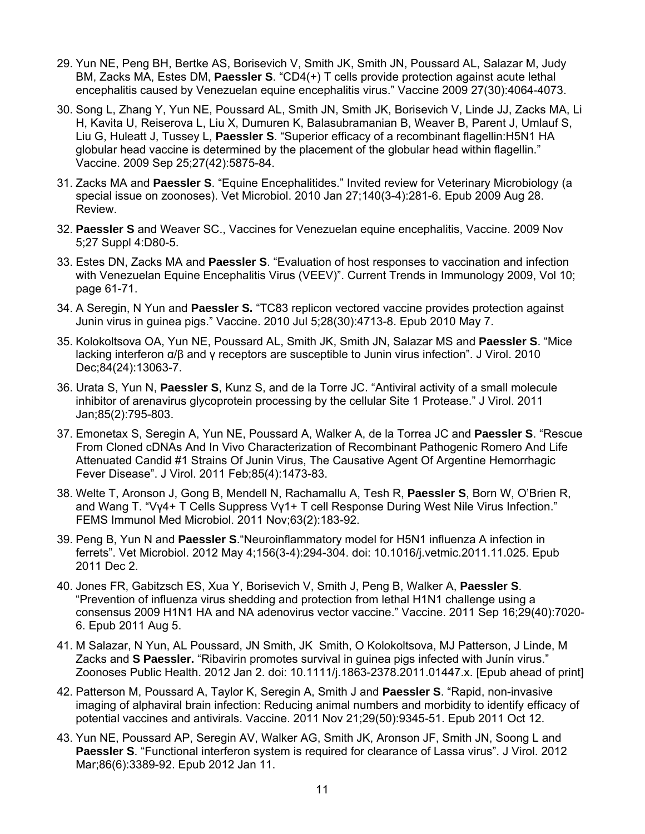- 29. Yun NE, Peng BH, Bertke AS, Borisevich V, Smith JK, Smith JN, Poussard AL, Salazar M, Judy BM, Zacks MA, Estes DM, **Paessler S**. "CD4(+) T cells provide protection against acute lethal encephalitis caused by Venezuelan equine encephalitis virus." Vaccine 2009 27(30):4064-4073.
- 30. Song L, Zhang Y, Yun NE, Poussard AL, Smith JN, Smith JK, Borisevich V, Linde JJ, Zacks MA, Li H, Kavita U, Reiserova L, Liu X, Dumuren K, Balasubramanian B, Weaver B, Parent J, Umlauf S, Liu G, Huleatt J, Tussey L, **Paessler S**. "Superior efficacy of a recombinant flagellin:H5N1 HA globular head vaccine is determined by the placement of the globular head within flagellin." Vaccine. 2009 Sep 25;27(42):5875-84.
- 31. Zacks MA and **Paessler S**. "Equine Encephalitides." Invited review for Veterinary Microbiology (a special issue on zoonoses). Vet Microbiol. 2010 Jan 27;140(3-4):281-6. Epub 2009 Aug 28. Review.
- 32. **Paessler S** and Weaver SC., Vaccines for Venezuelan equine encephalitis, Vaccine. 2009 Nov 5;27 Suppl 4:D80-5.
- 33. Estes DN, Zacks MA and **Paessler S**. "Evaluation of host responses to vaccination and infection with Venezuelan Equine Encephalitis Virus (VEEV)". Current Trends in Immunology 2009, Vol 10; page 61-71.
- 34. A Seregin, N Yun and **Paessler S.** "TC83 replicon vectored vaccine provides protection against Junin virus in guinea pigs." Vaccine. 2010 Jul 5;28(30):4713-8. Epub 2010 May 7.
- 35. Kolokoltsova OA, Yun NE, Poussard AL, Smith JK, Smith JN, Salazar MS and **Paessler S**. "Mice lacking interferon α/β and γ receptors are susceptible to Junin virus infection". J Virol. 2010 Dec;84(24):13063-7.
- 36. Urata S, Yun N, **Paessler S**, Kunz S, and de la Torre JC. "Antiviral activity of a small molecule inhibitor of arenavirus glycoprotein processing by the cellular Site 1 Protease." J Virol. 2011 Jan;85(2):795-803.
- 37. Emonetax S, Seregin A, Yun NE, Poussard A, Walker A, de la Torrea JC and **Paessler S**. "Rescue From Cloned cDNAs And In Vivo Characterization of Recombinant Pathogenic Romero And Life Attenuated Candid #1 Strains Of Junin Virus, The Causative Agent Of Argentine Hemorrhagic Fever Disease". J Virol. 2011 Feb;85(4):1473-83.
- 38. Welte T, Aronson J, Gong B, Mendell N, Rachamallu A, Tesh R, **Paessler S**, Born W, O'Brien R, and Wang T. "Vγ4+ T Cells Suppress Vγ1+ T cell Response During West Nile Virus Infection." FEMS Immunol Med Microbiol. 2011 Nov;63(2):183-92.
- 39. Peng B, Yun N and **Paessler S**."Neuroinflammatory model for H5N1 influenza A infection in ferrets". Vet Microbiol. 2012 May 4;156(3-4):294-304. doi: 10.1016/j.vetmic.2011.11.025. Epub 2011 Dec 2.
- 40. Jones FR, Gabitzsch ES, Xua Y, Borisevich V, Smith J, Peng B, Walker A, **Paessler S**. "Prevention of influenza virus shedding and protection from lethal H1N1 challenge using a consensus 2009 H1N1 HA and NA adenovirus vector vaccine." Vaccine. 2011 Sep 16;29(40):7020- 6. Epub 2011 Aug 5.
- 41. M Salazar, N Yun, AL Poussard, JN Smith, JK Smith, O Kolokoltsova, MJ Patterson, J Linde, M Zacks and **S Paessler.** "Ribavirin promotes survival in guinea pigs infected with Junín virus." Zoonoses Public Health. 2012 Jan 2. doi: 10.1111/j.1863-2378.2011.01447.x. [Epub ahead of print]
- 42. Patterson M, Poussard A, Taylor K, Seregin A, Smith J and **Paessler S**. "Rapid, non-invasive imaging of alphaviral brain infection: Reducing animal numbers and morbidity to identify efficacy of potential vaccines and antivirals. Vaccine. 2011 Nov 21;29(50):9345-51. Epub 2011 Oct 12.
- 43. Yun NE, Poussard AP, Seregin AV, Walker AG, Smith JK, Aronson JF, Smith JN, Soong L and **Paessler S**. "Functional interferon system is required for clearance of Lassa virus". J Virol. 2012 Mar;86(6):3389-92. Epub 2012 Jan 11.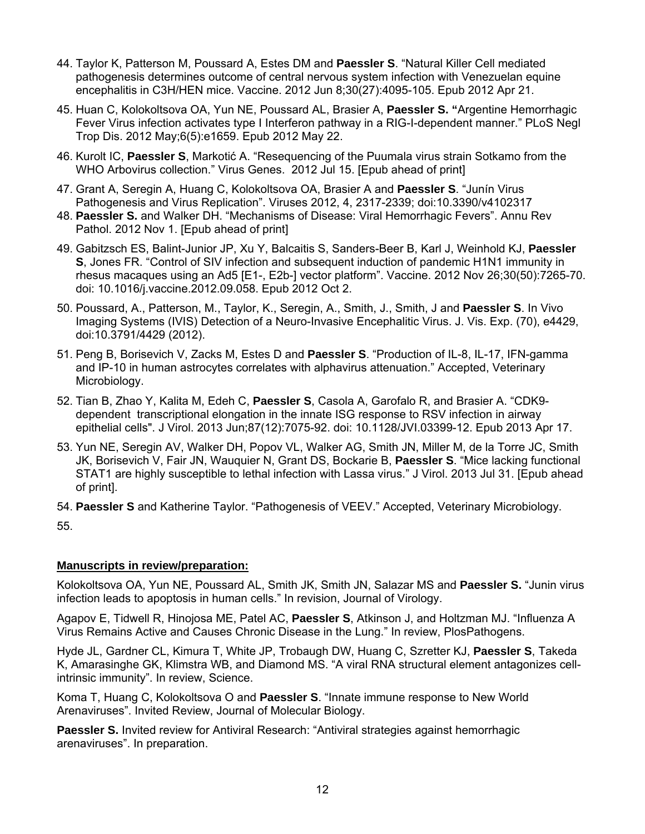- 44. Taylor K, Patterson M, Poussard A, Estes DM and **Paessler S**. "Natural Killer Cell mediated pathogenesis determines outcome of central nervous system infection with Venezuelan equine encephalitis in C3H/HEN mice. Vaccine. 2012 Jun 8;30(27):4095-105. Epub 2012 Apr 21.
- 45. Huan C, Kolokoltsova OA, Yun NE, Poussard AL, Brasier A, **Paessler S. "**Argentine Hemorrhagic Fever Virus infection activates type I Interferon pathway in a RIG-I-dependent manner." PLoS Negl Trop Dis. 2012 May;6(5):e1659. Epub 2012 May 22.
- 46. Kurolt IC, **Paessler S**, Markotić A. "Resequencing of the Puumala virus strain Sotkamo from the WHO Arbovirus collection." Virus Genes. 2012 Jul 15. [Epub ahead of print]
- 47. Grant A, Seregin A, Huang C, Kolokoltsova OA, Brasier A and **Paessler S**. "Junín Virus Pathogenesis and Virus Replication". Viruses 2012, 4, 2317-2339; doi:10.3390/v4102317
- 48. **Paessler S.** and Walker DH. "Mechanisms of Disease: Viral Hemorrhagic Fevers". Annu Rev Pathol. 2012 Nov 1. [Epub ahead of print]
- 49. Gabitzsch ES, Balint-Junior JP, Xu Y, Balcaitis S, Sanders-Beer B, Karl J, Weinhold KJ, **Paessler S**, Jones FR. "Control of SIV infection and subsequent induction of pandemic H1N1 immunity in rhesus macaques using an Ad5 [E1-, E2b-] vector platform". Vaccine. 2012 Nov 26;30(50):7265-70. doi: 10.1016/j.vaccine.2012.09.058. Epub 2012 Oct 2.
- 50. Poussard, A., Patterson, M., Taylor, K., Seregin, A., Smith, J., Smith, J and **Paessler S**. In Vivo Imaging Systems (IVIS) Detection of a Neuro-Invasive Encephalitic Virus. J. Vis. Exp. (70), e4429, doi:10.3791/4429 (2012).
- 51. Peng B, Borisevich V, Zacks M, Estes D and **Paessler S**. "Production of IL-8, IL-17, IFN-gamma and IP-10 in human astrocytes correlates with alphavirus attenuation." Accepted, Veterinary Microbiology.
- 52. Tian B, Zhao Y, Kalita M, Edeh C, **Paessler S**, Casola A, Garofalo R, and Brasier A. "CDK9 dependent transcriptional elongation in the innate ISG response to RSV infection in airway epithelial cells". J Virol. 2013 Jun;87(12):7075-92. doi: 10.1128/JVI.03399-12. Epub 2013 Apr 17.
- 53. Yun NE, Seregin AV, Walker DH, Popov VL, Walker AG, Smith JN, Miller M, de la Torre JC, Smith JK, Borisevich V, Fair JN, Wauquier N, Grant DS, Bockarie B, **Paessler S**. "Mice lacking functional STAT1 are highly susceptible to lethal infection with Lassa virus." J Virol. 2013 Jul 31. [Epub ahead of print].

54. **Paessler S** and Katherine Taylor. "Pathogenesis of VEEV." Accepted, Veterinary Microbiology. 55.

## **Manuscripts in review/preparation:**

Kolokoltsova OA, Yun NE, Poussard AL, Smith JK, Smith JN, Salazar MS and **Paessler S.** "Junin virus infection leads to apoptosis in human cells." In revision, Journal of Virology.

Agapov E, Tidwell R, Hinojosa ME, Patel AC, **Paessler S**, Atkinson J, and Holtzman MJ. "Influenza A Virus Remains Active and Causes Chronic Disease in the Lung." In review, PlosPathogens.

Hyde JL, Gardner CL, Kimura T, White JP, Trobaugh DW, Huang C, Szretter KJ, **Paessler S**, Takeda K, Amarasinghe GK, Klimstra WB, and Diamond MS. "A viral RNA structural element antagonizes cellintrinsic immunity". In review, Science.

Koma T, Huang C, Kolokoltsova O and **Paessler S**. "Innate immune response to New World Arenaviruses". Invited Review, Journal of Molecular Biology.

**Paessler S.** Invited review for Antiviral Research: "Antiviral strategies against hemorrhagic arenaviruses". In preparation.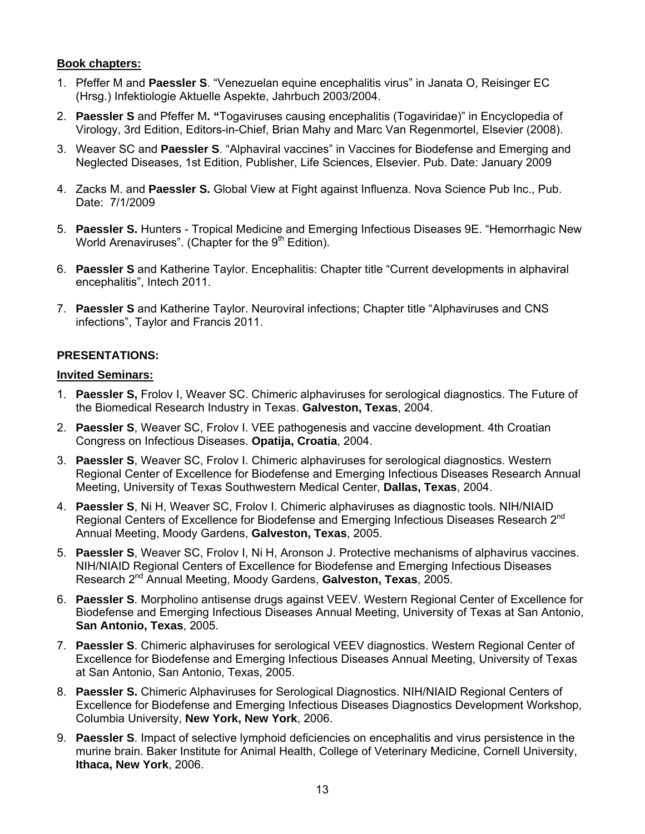# **Book chapters:**

- 1. Pfeffer M and **Paessler S**. "Venezuelan equine encephalitis virus" in Janata O, Reisinger EC (Hrsg.) Infektiologie Aktuelle Aspekte, Jahrbuch 2003/2004.
- 2. **Paessler S** and Pfeffer M**. "**Togaviruses causing encephalitis (Togaviridae)" in Encyclopedia of Virology, 3rd Edition, Editors-in-Chief, Brian Mahy and Marc Van Regenmortel, Elsevier (2008).
- 3. Weaver SC and **Paessler S**. "Alphaviral vaccines" in Vaccines for Biodefense and Emerging and Neglected Diseases, 1st Edition, Publisher, Life Sciences, Elsevier. Pub. Date: January 2009
- 4. Zacks M. and **Paessler S.** Global View at Fight against Influenza. Nova Science Pub Inc., Pub. Date: 7/1/2009
- 5. **Paessler S.** Hunters Tropical Medicine and Emerging Infectious Diseases 9E. "Hemorrhagic New World Arenaviruses". (Chapter for the  $9<sup>th</sup>$  Edition).
- 6. **Paessler S** and Katherine Taylor. Encephalitis: Chapter title "Current developments in alphaviral encephalitis", Intech 2011.
- 7. **Paessler S** and Katherine Taylor. Neuroviral infections; Chapter title "Alphaviruses and CNS infections", Taylor and Francis 2011.

# **PRESENTATIONS:**

## **Invited Seminars:**

- 1. **Paessler S,** Frolov I, Weaver SC. Chimeric alphaviruses for serological diagnostics. The Future of the Biomedical Research Industry in Texas. **Galveston, Texas**, 2004.
- 2. **Paessler S**, Weaver SC, Frolov I. VEE pathogenesis and vaccine development. 4th Croatian Congress on Infectious Diseases. **Opatija, Croatia**, 2004.
- 3. **Paessler S**, Weaver SC, Frolov I. Chimeric alphaviruses for serological diagnostics. Western Regional Center of Excellence for Biodefense and Emerging Infectious Diseases Research Annual Meeting, University of Texas Southwestern Medical Center, **Dallas, Texas**, 2004.
- 4. **Paessler S**, Ni H, Weaver SC, Frolov I. Chimeric alphaviruses as diagnostic tools. NIH/NIAID Regional Centers of Excellence for Biodefense and Emerging Infectious Diseases Research 2<sup>nd</sup> Annual Meeting, Moody Gardens, **Galveston, Texas**, 2005.
- 5. **Paessler S**, Weaver SC, Frolov I, Ni H, Aronson J. Protective mechanisms of alphavirus vaccines. NIH/NIAID Regional Centers of Excellence for Biodefense and Emerging Infectious Diseases Research 2nd Annual Meeting, Moody Gardens, **Galveston, Texas**, 2005.
- 6. **Paessler S**. Morpholino antisense drugs against VEEV. Western Regional Center of Excellence for Biodefense and Emerging Infectious Diseases Annual Meeting, University of Texas at San Antonio, **San Antonio, Texas**, 2005.
- 7. **Paessler S**. Chimeric alphaviruses for serological VEEV diagnostics. Western Regional Center of Excellence for Biodefense and Emerging Infectious Diseases Annual Meeting, University of Texas at San Antonio, San Antonio, Texas, 2005.
- 8. **Paessler S.** Chimeric Alphaviruses for Serological Diagnostics. NIH/NIAID Regional Centers of Excellence for Biodefense and Emerging Infectious Diseases Diagnostics Development Workshop, Columbia University, **New York, New York**, 2006.
- 9. **Paessler S**. Impact of selective lymphoid deficiencies on encephalitis and virus persistence in the murine brain. Baker Institute for Animal Health, College of Veterinary Medicine, Cornell University, **Ithaca, New York**, 2006.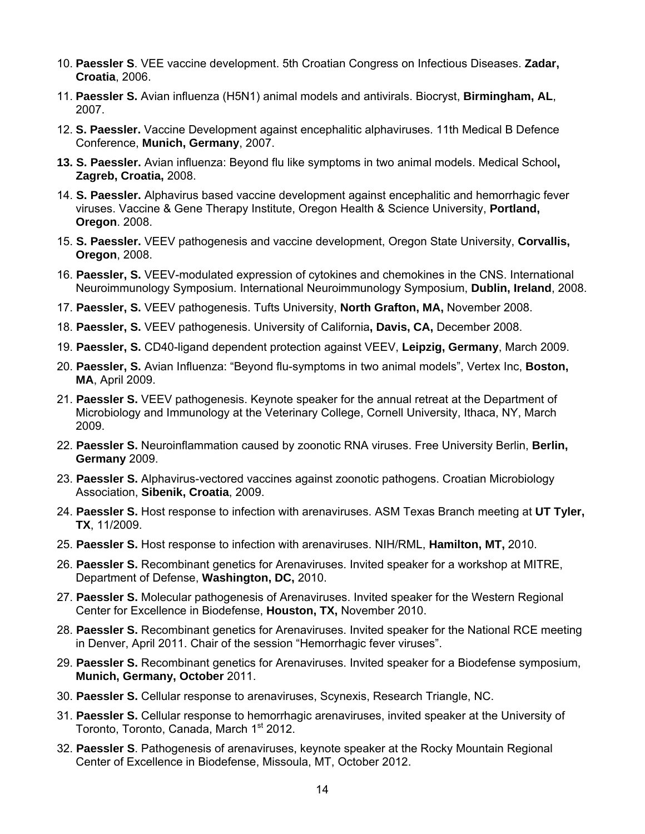- 10. **Paessler S**. VEE vaccine development. 5th Croatian Congress on Infectious Diseases. **Zadar, Croatia**, 2006.
- 11. **Paessler S.** Avian influenza (H5N1) animal models and antivirals. Biocryst, **Birmingham, AL**, 2007.
- 12. **S. Paessler.** Vaccine Development against encephalitic alphaviruses. 11th Medical B Defence Conference, **Munich, Germany**, 2007.
- **13. S. Paessler.** Avian influenza: Beyond flu like symptoms in two animal models. Medical School**, Zagreb, Croatia,** 2008.
- 14. **S. Paessler.** Alphavirus based vaccine development against encephalitic and hemorrhagic fever viruses. Vaccine & Gene Therapy Institute, Oregon Health & Science University, **Portland, Oregon**. 2008.
- 15. **S. Paessler.** VEEV pathogenesis and vaccine development, Oregon State University, **Corvallis, Oregon**, 2008.
- 16. **Paessler, S.** VEEV-modulated expression of cytokines and chemokines in the CNS. International Neuroimmunology Symposium. International Neuroimmunology Symposium, **Dublin, Ireland**, 2008.
- 17. **Paessler, S.** VEEV pathogenesis. Tufts University, **North Grafton, MA,** November 2008.
- 18. **Paessler, S.** VEEV pathogenesis. University of California**, Davis, CA,** December 2008.
- 19. **Paessler, S.** CD40-ligand dependent protection against VEEV, **Leipzig, Germany**, March 2009.
- 20. **Paessler, S.** Avian Influenza: "Beyond flu-symptoms in two animal models", Vertex Inc, **Boston, MA**, April 2009.
- 21. **Paessler S.** VEEV pathogenesis. Keynote speaker for the annual retreat at the Department of Microbiology and Immunology at the Veterinary College, Cornell University, Ithaca, NY, March 2009.
- 22. **Paessler S.** Neuroinflammation caused by zoonotic RNA viruses. Free University Berlin, **Berlin, Germany** 2009.
- 23. **Paessler S.** Alphavirus-vectored vaccines against zoonotic pathogens. Croatian Microbiology Association, **Sibenik, Croatia**, 2009.
- 24. **Paessler S.** Host response to infection with arenaviruses. ASM Texas Branch meeting at **UT Tyler, TX**, 11/2009.
- 25. **Paessler S.** Host response to infection with arenaviruses. NIH/RML, **Hamilton, MT,** 2010.
- 26. **Paessler S.** Recombinant genetics for Arenaviruses. Invited speaker for a workshop at MITRE, Department of Defense, **Washington, DC,** 2010.
- 27. **Paessler S.** Molecular pathogenesis of Arenaviruses. Invited speaker for the Western Regional Center for Excellence in Biodefense, **Houston, TX,** November 2010.
- 28. **Paessler S.** Recombinant genetics for Arenaviruses. Invited speaker for the National RCE meeting in Denver, April 2011. Chair of the session "Hemorrhagic fever viruses".
- 29. **Paessler S.** Recombinant genetics for Arenaviruses. Invited speaker for a Biodefense symposium, **Munich, Germany, October** 2011.
- 30. **Paessler S.** Cellular response to arenaviruses, Scynexis, Research Triangle, NC.
- 31. **Paessler S.** Cellular response to hemorrhagic arenaviruses, invited speaker at the University of Toronto, Toronto, Canada, March 1<sup>st</sup> 2012.
- 32. **Paessler S**. Pathogenesis of arenaviruses, keynote speaker at the Rocky Mountain Regional Center of Excellence in Biodefense, Missoula, MT, October 2012.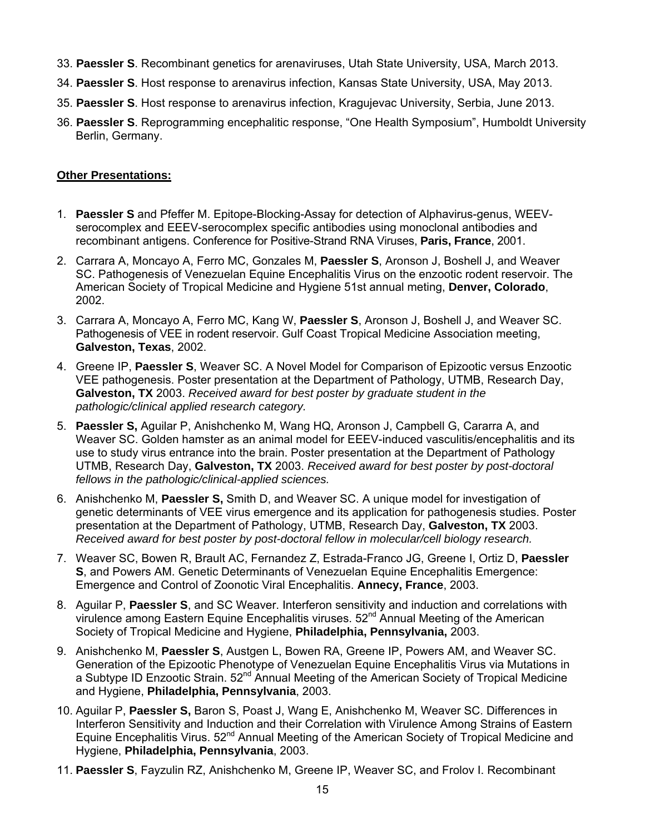- 33. **Paessler S**. Recombinant genetics for arenaviruses, Utah State University, USA, March 2013.
- 34. **Paessler S**. Host response to arenavirus infection, Kansas State University, USA, May 2013.
- 35. **Paessler S**. Host response to arenavirus infection, Kragujevac University, Serbia, June 2013.
- 36. **Paessler S**. Reprogramming encephalitic response, "One Health Symposium", Humboldt University Berlin, Germany.

## **Other Presentations:**

- 1. **Paessler S** and Pfeffer M. Epitope-Blocking-Assay for detection of Alphavirus-genus, WEEVserocomplex and EEEV-serocomplex specific antibodies using monoclonal antibodies and recombinant antigens. Conference for Positive-Strand RNA Viruses, **Paris, France**, 2001.
- 2. Carrara A, Moncayo A, Ferro MC, Gonzales M, **Paessler S**, Aronson J, Boshell J, and Weaver SC. Pathogenesis of Venezuelan Equine Encephalitis Virus on the enzootic rodent reservoir. The American Society of Tropical Medicine and Hygiene 51st annual meting, **Denver, Colorado**, 2002.
- 3. Carrara A, Moncayo A, Ferro MC, Kang W, **Paessler S**, Aronson J, Boshell J, and Weaver SC. Pathogenesis of VEE in rodent reservoir. Gulf Coast Tropical Medicine Association meeting, **Galveston, Texas**, 2002.
- 4. Greene IP, **Paessler S**, Weaver SC. A Novel Model for Comparison of Epizootic versus Enzootic VEE pathogenesis. Poster presentation at the Department of Pathology, UTMB, Research Day, **Galveston, TX** 2003. *Received award for best poster by graduate student in the pathologic/clinical applied research category.*
- 5. **Paessler S,** Aguilar P, Anishchenko M, Wang HQ, Aronson J, Campbell G, Cararra A, and Weaver SC. Golden hamster as an animal model for EEEV-induced vasculitis/encephalitis and its use to study virus entrance into the brain. Poster presentation at the Department of Pathology UTMB, Research Day, **Galveston, TX** 2003. *Received award for best poster by post-doctoral fellows in the pathologic/clinical-applied sciences.*
- 6. Anishchenko M, **Paessler S,** Smith D, and Weaver SC. A unique model for investigation of genetic determinants of VEE virus emergence and its application for pathogenesis studies. Poster presentation at the Department of Pathology, UTMB, Research Day, **Galveston, TX** 2003. *Received award for best poster by post-doctoral fellow in molecular/cell biology research.*
- 7. Weaver SC, Bowen R, Brault AC, Fernandez Z, Estrada-Franco JG, Greene I, Ortiz D, **Paessler S**, and Powers AM. Genetic Determinants of Venezuelan Equine Encephalitis Emergence: Emergence and Control of Zoonotic Viral Encephalitis. **Annecy, France**, 2003.
- 8. Aguilar P, **Paessler S**, and SC Weaver. Interferon sensitivity and induction and correlations with virulence among Eastern Equine Encephalitis viruses.  $52<sup>nd</sup>$  Annual Meeting of the American Society of Tropical Medicine and Hygiene, **Philadelphia, Pennsylvania,** 2003.
- 9. Anishchenko M, **Paessler S**, Austgen L, Bowen RA, Greene IP, Powers AM, and Weaver SC. Generation of the Epizootic Phenotype of Venezuelan Equine Encephalitis Virus via Mutations in a Subtype ID Enzootic Strain. 52<sup>nd</sup> Annual Meeting of the American Society of Tropical Medicine and Hygiene, **Philadelphia, Pennsylvania**, 2003.
- 10. Aguilar P, **Paessler S,** Baron S, Poast J, Wang E, Anishchenko M, Weaver SC. Differences in Interferon Sensitivity and Induction and their Correlation with Virulence Among Strains of Eastern Equine Encephalitis Virus. 52<sup>nd</sup> Annual Meeting of the American Society of Tropical Medicine and Hygiene, **Philadelphia, Pennsylvania**, 2003.
- 11. **Paessler S**, Fayzulin RZ, Anishchenko M, Greene IP, Weaver SC, and Frolov I. Recombinant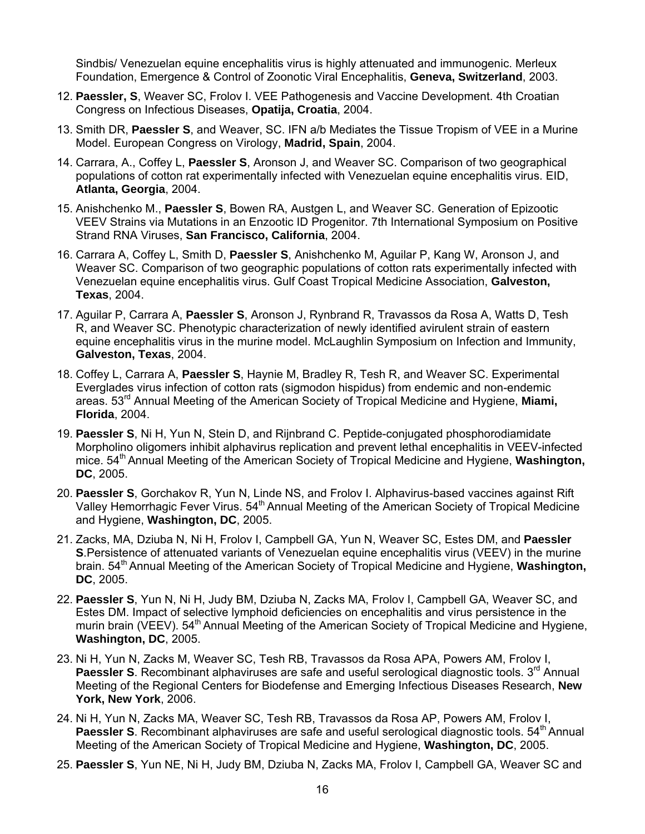Sindbis/ Venezuelan equine encephalitis virus is highly attenuated and immunogenic. Merleux Foundation, Emergence & Control of Zoonotic Viral Encephalitis, **Geneva, Switzerland**, 2003.

- 12. **Paessler, S**, Weaver SC, Frolov I. VEE Pathogenesis and Vaccine Development. 4th Croatian Congress on Infectious Diseases, **Opatija, Croatia**, 2004.
- 13. Smith DR, **Paessler S**, and Weaver, SC. IFN a/b Mediates the Tissue Tropism of VEE in a Murine Model. European Congress on Virology, **Madrid, Spain**, 2004.
- 14. Carrara, A., Coffey L, **Paessler S**, Aronson J, and Weaver SC. Comparison of two geographical populations of cotton rat experimentally infected with Venezuelan equine encephalitis virus. EID, **Atlanta, Georgia**, 2004.
- 15. Anishchenko M., **Paessler S**, Bowen RA, Austgen L, and Weaver SC. Generation of Epizootic VEEV Strains via Mutations in an Enzootic ID Progenitor. 7th International Symposium on Positive Strand RNA Viruses, **San Francisco, California**, 2004.
- 16. Carrara A, Coffey L, Smith D, **Paessler S**, Anishchenko M, Aguilar P, Kang W, Aronson J, and Weaver SC. Comparison of two geographic populations of cotton rats experimentally infected with Venezuelan equine encephalitis virus. Gulf Coast Tropical Medicine Association, **Galveston, Texas**, 2004.
- 17. Aguilar P, Carrara A, **Paessler S**, Aronson J, Rynbrand R, Travassos da Rosa A, Watts D, Tesh R, and Weaver SC. Phenotypic characterization of newly identified avirulent strain of eastern equine encephalitis virus in the murine model. McLaughlin Symposium on Infection and Immunity, **Galveston, Texas**, 2004.
- 18. Coffey L, Carrara A, **Paessler S**, Haynie M, Bradley R, Tesh R, and Weaver SC. Experimental Everglades virus infection of cotton rats (sigmodon hispidus) from endemic and non-endemic areas. 53rd Annual Meeting of the American Society of Tropical Medicine and Hygiene, **Miami, Florida**, 2004.
- 19. **Paessler S**, Ni H, Yun N, Stein D, and Rijnbrand C. Peptide-conjugated phosphorodiamidate Morpholino oligomers inhibit alphavirus replication and prevent lethal encephalitis in VEEV-infected mice. 54<sup>th</sup> Annual Meeting of the American Society of Tropical Medicine and Hygiene, **Washington**, **DC**, 2005.
- 20. **Paessler S**, Gorchakov R, Yun N, Linde NS, and Frolov I. Alphavirus-based vaccines against Rift Valley Hemorrhagic Fever Virus. 54<sup>th</sup> Annual Meeting of the American Society of Tropical Medicine and Hygiene, **Washington, DC**, 2005.
- 21. Zacks, MA, Dziuba N, Ni H, Frolov I, Campbell GA, Yun N, Weaver SC, Estes DM, and **Paessler S**.Persistence of attenuated variants of Venezuelan equine encephalitis virus (VEEV) in the murine brain. 54<sup>th</sup> Annual Meeting of the American Society of Tropical Medicine and Hygiene, **Washington**, **DC**, 2005.
- 22. **Paessler S**, Yun N, Ni H, Judy BM, Dziuba N, Zacks MA, Frolov I, Campbell GA, Weaver SC, and Estes DM. Impact of selective lymphoid deficiencies on encephalitis and virus persistence in the murin brain (VEEV). 54<sup>th</sup> Annual Meeting of the American Society of Tropical Medicine and Hygiene, **Washington, DC**, 2005.
- 23. Ni H, Yun N, Zacks M, Weaver SC, Tesh RB, Travassos da Rosa APA, Powers AM, Frolov I, **Paessler S.** Recombinant alphaviruses are safe and useful serological diagnostic tools. 3<sup>rd</sup> Annual Meeting of the Regional Centers for Biodefense and Emerging Infectious Diseases Research, **New York, New York**, 2006.
- 24. Ni H, Yun N, Zacks MA, Weaver SC, Tesh RB, Travassos da Rosa AP, Powers AM, Frolov I, **Paessler S**. Recombinant alphaviruses are safe and useful serological diagnostic tools. 54<sup>th</sup> Annual Meeting of the American Society of Tropical Medicine and Hygiene, **Washington, DC**, 2005.
- 25. **Paessler S**, Yun NE, Ni H, Judy BM, Dziuba N, Zacks MA, Frolov I, Campbell GA, Weaver SC and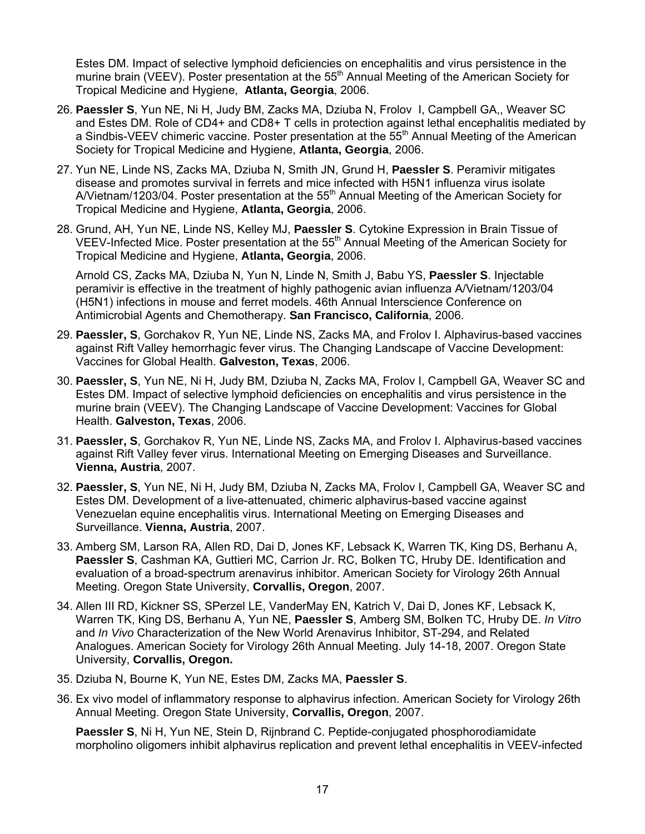Estes DM. Impact of selective lymphoid deficiencies on encephalitis and virus persistence in the murine brain (VEEV). Poster presentation at the 55<sup>th</sup> Annual Meeting of the American Society for Tropical Medicine and Hygiene, **Atlanta, Georgia**, 2006.

- 26. **Paessler S**, Yun NE, Ni H, Judy BM, Zacks MA, Dziuba N, Frolov I, Campbell GA,, Weaver SC and Estes DM. Role of CD4+ and CD8+ T cells in protection against lethal encephalitis mediated by a Sindbis-VEEV chimeric vaccine. Poster presentation at the 55<sup>th</sup> Annual Meeting of the American Society for Tropical Medicine and Hygiene, **Atlanta, Georgia**, 2006.
- 27. Yun NE, Linde NS, Zacks MA, Dziuba N, Smith JN, Grund H, **Paessler S**. Peramivir mitigates disease and promotes survival in ferrets and mice infected with H5N1 influenza virus isolate A/Vietnam/1203/04. Poster presentation at the 55<sup>th</sup> Annual Meeting of the American Society for Tropical Medicine and Hygiene, **Atlanta, Georgia**, 2006.
- 28. Grund, AH, Yun NE, Linde NS, Kelley MJ, **Paessler S**. Cytokine Expression in Brain Tissue of VEEV-Infected Mice. Poster presentation at the 55<sup>th</sup> Annual Meeting of the American Society for Tropical Medicine and Hygiene, **Atlanta, Georgia**, 2006.

Arnold CS, Zacks MA, Dziuba N, Yun N, Linde N, Smith J, Babu YS, **Paessler S**. Injectable peramivir is effective in the treatment of highly pathogenic avian influenza A/Vietnam/1203/04 (H5N1) infections in mouse and ferret models. 46th Annual Interscience Conference on Antimicrobial Agents and Chemotherapy. **San Francisco, California**, 2006.

- 29. **Paessler, S**, Gorchakov R, Yun NE, Linde NS, Zacks MA, and Frolov I. Alphavirus-based vaccines against Rift Valley hemorrhagic fever virus. The Changing Landscape of Vaccine Development: Vaccines for Global Health. **Galveston, Texas**, 2006.
- 30. **Paessler, S**, Yun NE, Ni H, Judy BM, Dziuba N, Zacks MA, Frolov I, Campbell GA, Weaver SC and Estes DM. Impact of selective lymphoid deficiencies on encephalitis and virus persistence in the murine brain (VEEV). The Changing Landscape of Vaccine Development: Vaccines for Global Health. **Galveston, Texas**, 2006.
- 31. **Paessler, S**, Gorchakov R, Yun NE, Linde NS, Zacks MA, and Frolov I. Alphavirus-based vaccines against Rift Valley fever virus. International Meeting on Emerging Diseases and Surveillance. **Vienna, Austria**, 2007.
- 32. **Paessler, S**, Yun NE, Ni H, Judy BM, Dziuba N, Zacks MA, Frolov I, Campbell GA, Weaver SC and Estes DM. Development of a live-attenuated, chimeric alphavirus-based vaccine against Venezuelan equine encephalitis virus. International Meeting on Emerging Diseases and Surveillance. **Vienna, Austria**, 2007.
- 33. Amberg SM, Larson RA, Allen RD, Dai D, Jones KF, Lebsack K, Warren TK, King DS, Berhanu A, **Paessler S**, Cashman KA, Guttieri MC, Carrion Jr. RC, Bolken TC, Hruby DE. Identification and evaluation of a broad-spectrum arenavirus inhibitor. American Society for Virology 26th Annual Meeting. Oregon State University, **Corvallis, Oregon**, 2007.
- 34. Allen III RD, Kickner SS, SPerzel LE, VanderMay EN, Katrich V, Dai D, Jones KF, Lebsack K, Warren TK, King DS, Berhanu A, Yun NE, **Paessler S**, Amberg SM, Bolken TC, Hruby DE. *In Vitro* and *In Vivo* Characterization of the New World Arenavirus Inhibitor, ST-294, and Related Analogues. American Society for Virology 26th Annual Meeting. July 14-18, 2007. Oregon State University, **Corvallis, Oregon.**
- 35. Dziuba N, Bourne K, Yun NE, Estes DM, Zacks MA, **Paessler S**.
- 36. Ex vivo model of inflammatory response to alphavirus infection. American Society for Virology 26th Annual Meeting. Oregon State University, **Corvallis, Oregon**, 2007.

**Paessler S**, Ni H, Yun NE, Stein D, Rijnbrand C. Peptide-conjugated phosphorodiamidate morpholino oligomers inhibit alphavirus replication and prevent lethal encephalitis in VEEV-infected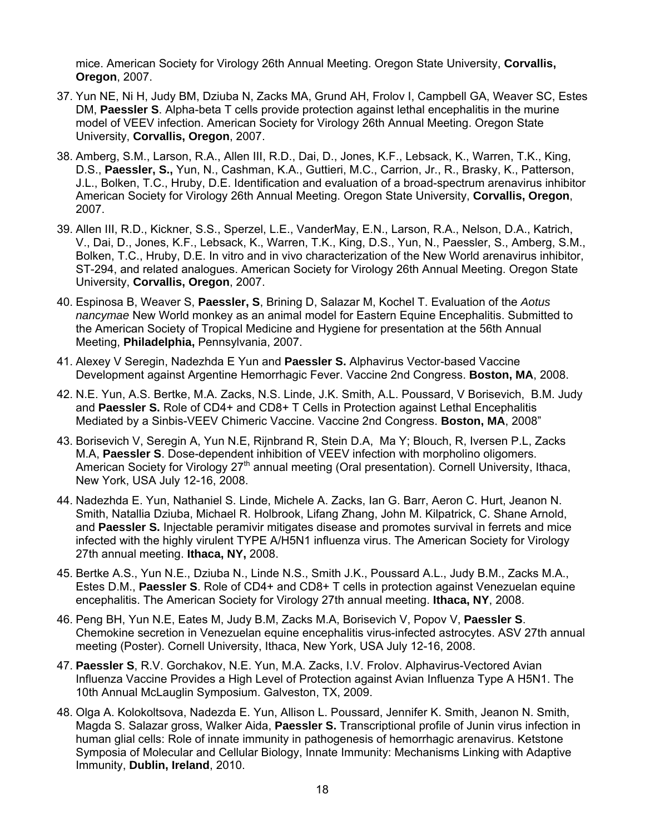mice. American Society for Virology 26th Annual Meeting. Oregon State University, **Corvallis, Oregon**, 2007.

- 37. Yun NE, Ni H, Judy BM, Dziuba N, Zacks MA, Grund AH, Frolov I, Campbell GA, Weaver SC, Estes DM, **Paessler S**. Alpha-beta T cells provide protection against lethal encephalitis in the murine model of VEEV infection. American Society for Virology 26th Annual Meeting. Oregon State University, **Corvallis, Oregon**, 2007.
- 38. Amberg, S.M., Larson, R.A., Allen III, R.D., Dai, D., Jones, K.F., Lebsack, K., Warren, T.K., King, D.S., **Paessler, S.,** Yun, N., Cashman, K.A., Guttieri, M.C., Carrion, Jr., R., Brasky, K., Patterson, J.L., Bolken, T.C., Hruby, D.E. Identification and evaluation of a broad-spectrum arenavirus inhibitor American Society for Virology 26th Annual Meeting. Oregon State University, **Corvallis, Oregon**, 2007.
- 39. Allen III, R.D., Kickner, S.S., Sperzel, L.E., VanderMay, E.N., Larson, R.A., Nelson, D.A., Katrich, V., Dai, D., Jones, K.F., Lebsack, K., Warren, T.K., King, D.S., Yun, N., Paessler, S., Amberg, S.M., Bolken, T.C., Hruby, D.E. In vitro and in vivo characterization of the New World arenavirus inhibitor, ST-294, and related analogues. American Society for Virology 26th Annual Meeting. Oregon State University, **Corvallis, Oregon**, 2007.
- 40. Espinosa B, Weaver S, **Paessler, S**, Brining D, Salazar M, Kochel T. Evaluation of the *Aotus nancymae* New World monkey as an animal model for Eastern Equine Encephalitis. Submitted to the American Society of Tropical Medicine and Hygiene for presentation at the 56th Annual Meeting, **Philadelphia,** Pennsylvania, 2007.
- 41. Alexey V Seregin, Nadezhda E Yun and **Paessler S.** Alphavirus Vector-based Vaccine Development against Argentine Hemorrhagic Fever. Vaccine 2nd Congress. **Boston, MA**, 2008.
- 42. N.E. Yun, A.S. Bertke, M.A. Zacks, N.S. Linde, J.K. Smith, A.L. Poussard, V Borisevich, B.M. Judy and **Paessler S.** Role of CD4+ and CD8+ T Cells in Protection against Lethal Encephalitis Mediated by a Sinbis-VEEV Chimeric Vaccine. Vaccine 2nd Congress. **Boston, MA**, 2008"
- 43. Borisevich V, Seregin A, Yun N.E, Rijnbrand R, Stein D.A, Ma Y; Blouch, R, Iversen P.L, Zacks M.A, **Paessler S**. Dose-dependent inhibition of VEEV infection with morpholino oligomers. American Society for Virology 27<sup>th</sup> annual meeting (Oral presentation). Cornell University, Ithaca, New York, USA July 12-16, 2008.
- 44. Nadezhda E. Yun, Nathaniel S. Linde, Michele A. Zacks, Ian G. Barr, Aeron C. Hurt, Jeanon N. Smith, Natallia Dziuba, Michael R. Holbrook, Lifang Zhang, John M. Kilpatrick, C. Shane Arnold, and **Paessler S.** Injectable peramivir mitigates disease and promotes survival in ferrets and mice infected with the highly virulent TYPE A/H5N1 influenza virus. The American Society for Virology 27th annual meeting. **Ithaca, NY,** 2008.
- 45. Bertke A.S., Yun N.E., Dziuba N., Linde N.S., Smith J.K., Poussard A.L., Judy B.M., Zacks M.A., Estes D.M., **Paessler S**. Role of CD4+ and CD8+ T cells in protection against Venezuelan equine encephalitis. The American Society for Virology 27th annual meeting. **Ithaca, NY**, 2008.
- 46. Peng BH, Yun N.E, Eates M, Judy B.M, Zacks M.A, Borisevich V, Popov V, **Paessler S**. Chemokine secretion in Venezuelan equine encephalitis virus-infected astrocytes. ASV 27th annual meeting (Poster). Cornell University, Ithaca, New York, USA July 12-16, 2008.
- 47. **Paessler S**, R.V. Gorchakov, N.E. Yun, M.A. Zacks, I.V. Frolov. Alphavirus-Vectored Avian Influenza Vaccine Provides a High Level of Protection against Avian Influenza Type A H5N1. The 10th Annual McLauglin Symposium. Galveston, TX, 2009.
- 48. Olga A. Kolokoltsova, Nadezda E. Yun, Allison L. Poussard, Jennifer K. Smith, Jeanon N. Smith, Magda S. Salazar gross, Walker Aida, **Paessler S.** Transcriptional profile of Junin virus infection in human glial cells: Role of innate immunity in pathogenesis of hemorrhagic arenavirus. Ketstone Symposia of Molecular and Cellular Biology, Innate Immunity: Mechanisms Linking with Adaptive Immunity, **Dublin, Ireland**, 2010.